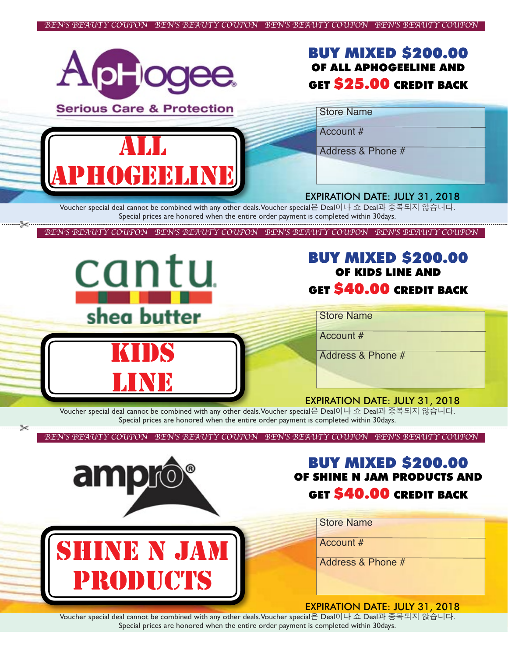

Voucher special deal cannot be combined with any other deals.Voucher special은 Deal이나 쇼 Deal과 중복되지 않습니다. Special prices are honored when the entire order payment is completed within 30days.